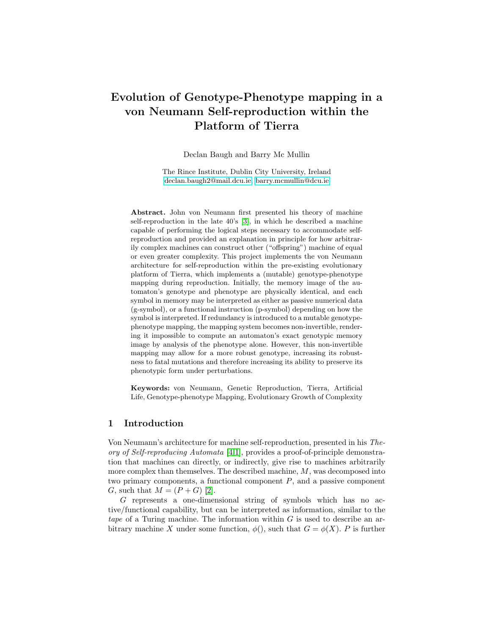# Evolution of Genotype-Phenotype mapping in a von Neumann Self-reproduction within the Platform of Tierra

Declan Baugh and Barry Mc Mullin

The Rince Institute, Dublin City University, Ireland [declan.baugh2@mail.dcu.ie,](mailto:declan.baugh2@mail.dcu.ie) [barry.mcmullin@dcu.ie](mailto:barry.mcmullin@dcu.ie)

Abstract. John von Neumann first presented his theory of machine self-reproduction in the late 40's [\[3\]](#page-5-0), in which he described a machine capable of performing the logical steps necessary to accommodate selfreproduction and provided an explanation in principle for how arbitrarily complex machines can construct other ("offspring") machine of equal or even greater complexity. This project implements the von Neumann architecture for self-reproduction within the pre-existing evolutionary platform of Tierra, which implements a (mutable) genotype-phenotype mapping during reproduction. Initially, the memory image of the automaton's genotype and phenotype are physically identical, and each symbol in memory may be interpreted as either as passive numerical data (g-symbol), or a functional instruction (p-symbol) depending on how the symbol is interpreted. If redundancy is introduced to a mutable genotypephenotype mapping, the mapping system becomes non-invertible, rendering it impossible to compute an automaton's exact genotypic memory image by analysis of the phenotype alone. However, this non-invertible mapping may allow for a more robust genotype, increasing its robustness to fatal mutations and therefore increasing its ability to preserve its phenotypic form under perturbations.

Keywords: von Neumann, Genetic Reproduction, Tierra, Artificial Life, Genotype-phenotype Mapping, Evolutionary Growth of Complexity

#### 1 Introduction

Von Neumann's architecture for machine self-reproduction, presented in his Theory of Self-reproducing Automata [\[4](#page-5-1)[,1\]](#page-5-2), provides a proof-of-principle demonstration that machines can directly, or indirectly, give rise to machines arbitrarily more complex than themselves. The described machine, M, was decomposed into two primary components, a functional component  $P$ , and a passive component G, such that  $M = (P + G)$  [\[2\]](#page-5-3).

G represents a one-dimensional string of symbols which has no active/functional capability, but can be interpreted as information, similar to the tape of a Turing machine. The information within  $G$  is used to describe an arbitrary machine X under some function,  $\phi()$ , such that  $G = \phi(X)$ . P is further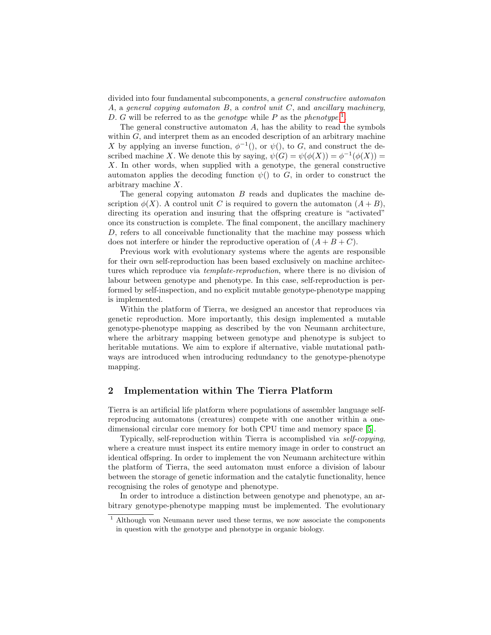divided into four fundamental subcomponents, a general constructive automaton A, a general copying automaton  $B$ , a control unit  $C$ , and ancillary machinery, D. G will be referred to as the *genotype* while P as the *phenotype*.<sup>[1](#page-1-0)</sup>.

The general constructive automaton  $A$ , has the ability to read the symbols within  $G$ , and interpret them as an encoded description of an arbitrary machine X by applying an inverse function,  $\phi^{-1}()$ , or  $\psi()$ , to G, and construct the described machine X. We denote this by saying,  $\psi(G) = \psi(\phi(X)) = \phi^{-1}(\phi(X)) =$ X. In other words, when supplied with a genotype, the general constructive automaton applies the decoding function  $\psi()$  to G, in order to construct the arbitrary machine X.

The general copying automaton  $B$  reads and duplicates the machine description  $\phi(X)$ . A control unit C is required to govern the automaton  $(A + B)$ , directing its operation and insuring that the offspring creature is "activated" once its construction is complete. The final component, the ancillary machinery D, refers to all conceivable functionality that the machine may possess which does not interfere or hinder the reproductive operation of  $(A + B + C)$ .

Previous work with evolutionary systems where the agents are responsible for their own self-reproduction has been based exclusively on machine architectures which reproduce via template-reproduction, where there is no division of labour between genotype and phenotype. In this case, self-reproduction is performed by self-inspection, and no explicit mutable genotype-phenotype mapping is implemented.

Within the platform of Tierra, we designed an ancestor that reproduces via genetic reproduction. More importantly, this design implemented a mutable genotype-phenotype mapping as described by the von Neumann architecture, where the arbitrary mapping between genotype and phenotype is subject to heritable mutations. We aim to explore if alternative, viable mutational pathways are introduced when introducing redundancy to the genotype-phenotype mapping.

#### 2 Implementation within The Tierra Platform

Tierra is an artificial life platform where populations of assembler language selfreproducing automatons (creatures) compete with one another within a onedimensional circular core memory for both CPU time and memory space [\[5\]](#page-5-4).

Typically, self-reproduction within Tierra is accomplished via self-copying, where a creature must inspect its entire memory image in order to construct an identical offspring. In order to implement the von Neumann architecture within the platform of Tierra, the seed automaton must enforce a division of labour between the storage of genetic information and the catalytic functionality, hence recognising the roles of genotype and phenotype.

In order to introduce a distinction between genotype and phenotype, an arbitrary genotype-phenotype mapping must be implemented. The evolutionary

<span id="page-1-0"></span><sup>&</sup>lt;sup>1</sup> Although von Neumann never used these terms, we now associate the components in question with the genotype and phenotype in organic biology.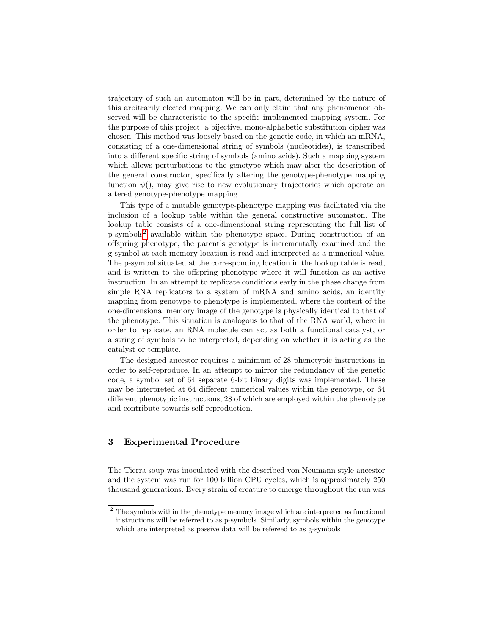trajectory of such an automaton will be in part, determined by the nature of this arbitrarily elected mapping. We can only claim that any phenomenon observed will be characteristic to the specific implemented mapping system. For the purpose of this project, a bijective, mono-alphabetic substitution cipher was chosen. This method was loosely based on the genetic code, in which an mRNA, consisting of a one-dimensional string of symbols (nucleotides), is transcribed into a different specific string of symbols (amino acids). Such a mapping system which allows perturbations to the genotype which may alter the description of the general constructor, specifically altering the genotype-phenotype mapping function  $\psi()$ , may give rise to new evolutionary trajectories which operate an altered genotype-phenotype mapping.

This type of a mutable genotype-phenotype mapping was facilitated via the inclusion of a lookup table within the general constructive automaton. The lookup table consists of a one-dimensional string representing the full list of p-symbols[2](#page-2-0) available within the phenotype space. During construction of an offspring phenotype, the parent's genotype is incrementally examined and the g-symbol at each memory location is read and interpreted as a numerical value. The p-symbol situated at the corresponding location in the lookup table is read, and is written to the offspring phenotype where it will function as an active instruction. In an attempt to replicate conditions early in the phase change from simple RNA replicators to a system of mRNA and amino acids, an identity mapping from genotype to phenotype is implemented, where the content of the one-dimensional memory image of the genotype is physically identical to that of the phenotype. This situation is analogous to that of the RNA world, where in order to replicate, an RNA molecule can act as both a functional catalyst, or a string of symbols to be interpreted, depending on whether it is acting as the catalyst or template.

The designed ancestor requires a minimum of 28 phenotypic instructions in order to self-reproduce. In an attempt to mirror the redundancy of the genetic code, a symbol set of 64 separate 6-bit binary digits was implemented. These may be interpreted at 64 different numerical values within the genotype, or 64 different phenotypic instructions, 28 of which are employed within the phenotype and contribute towards self-reproduction.

#### 3 Experimental Procedure

The Tierra soup was inoculated with the described von Neumann style ancestor and the system was run for 100 billion CPU cycles, which is approximately 250 thousand generations. Every strain of creature to emerge throughout the run was

<span id="page-2-0"></span><sup>&</sup>lt;sup>2</sup> The symbols within the phenotype memory image which are interpreted as functional instructions will be referred to as p-symbols. Similarly, symbols within the genotype which are interpreted as passive data will be refereed to as g-symbols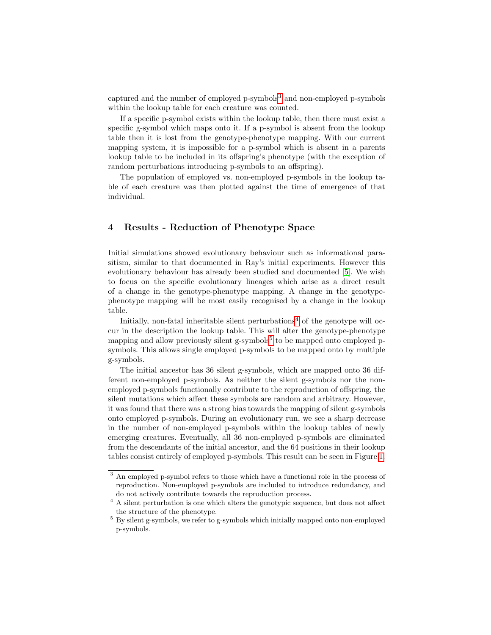captured and the number of employed p-symbols<sup>[3](#page-3-0)</sup> and non-employed p-symbols within the lookup table for each creature was counted.

If a specific p-symbol exists within the lookup table, then there must exist a specific g-symbol which maps onto it. If a p-symbol is absent from the lookup table then it is lost from the genotype-phenotype mapping. With our current mapping system, it is impossible for a p-symbol which is absent in a parents lookup table to be included in its offspring's phenotype (with the exception of random perturbations introducing p-symbols to an offspring).

The population of employed vs. non-employed p-symbols in the lookup table of each creature was then plotted against the time of emergence of that individual.

### 4 Results - Reduction of Phenotype Space

Initial simulations showed evolutionary behaviour such as informational parasitism, similar to that documented in Ray's initial experiments. However this evolutionary behaviour has already been studied and documented [\[5\]](#page-5-4). We wish to focus on the specific evolutionary lineages which arise as a direct result of a change in the genotype-phenotype mapping. A change in the genotypephenotype mapping will be most easily recognised by a change in the lookup table.

Initially, non-fatal inheritable silent perturbations<sup>[4](#page-3-1)</sup> of the genotype will occur in the description the lookup table. This will alter the genotype-phenotype mapping and allow previously silent g-symbols<sup>[5](#page-3-2)</sup> to be mapped onto employed psymbols. This allows single employed p-symbols to be mapped onto by multiple g-symbols.

The initial ancestor has 36 silent g-symbols, which are mapped onto 36 different non-employed p-symbols. As neither the silent g-symbols nor the nonemployed p-symbols functionally contribute to the reproduction of offspring, the silent mutations which affect these symbols are random and arbitrary. However, it was found that there was a strong bias towards the mapping of silent g-symbols onto employed p-symbols. During an evolutionary run, we see a sharp decrease in the number of non-employed p-symbols within the lookup tables of newly emerging creatures. Eventually, all 36 non-employed p-symbols are eliminated from the descendants of the initial ancestor, and the 64 positions in their lookup tables consist entirely of employed p-symbols. This result can be seen in Figure [1.](#page-4-0)

<span id="page-3-0"></span><sup>3</sup> An employed p-symbol refers to those which have a functional role in the process of reproduction. Non-employed p-symbols are included to introduce redundancy, and do not actively contribute towards the reproduction process.

<span id="page-3-1"></span> $^4$  A silent perturbation is one which alters the genotypic sequence, but does not affect the structure of the phenotype.

<span id="page-3-2"></span> $5$  By silent g-symbols, we refer to g-symbols which initially mapped onto non-employed p-symbols.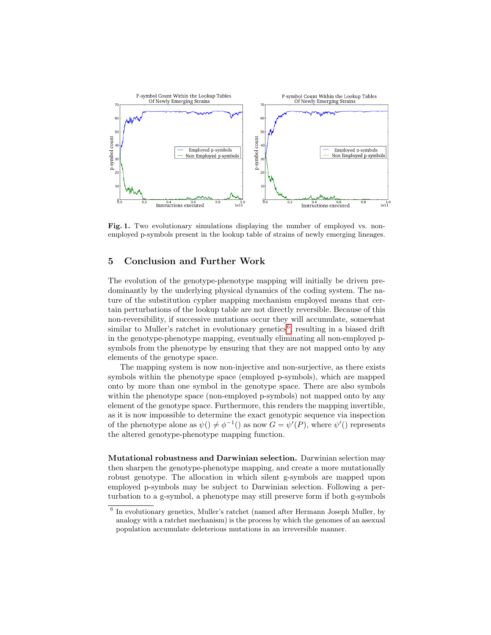

<span id="page-4-0"></span>Fig. 1. Two evolutionary simulations displaying the number of employed vs. nonemployed p-symbols present in the lookup table of strains of newly emerging lineages.

## 5 Conclusion and Further Work

The evolution of the genotype-phenotype mapping will initially be driven predominantly by the underlying physical dynamics of the coding system. The nature of the substitution cypher mapping mechanism employed means that certain perturbations of the lookup table are not directly reversible. Because of this non-reversibility, if successive mutations occur they will accumulate, somewhat similar to Muller's ratchet in evolutionary genetics<sup>[6](#page-4-1)</sup>, resulting in a biased drift in the genotype-phenotype mapping, eventually eliminating all non-employed psymbols from the phenotype by ensuring that they are not mapped onto by any elements of the genotype space.

The mapping system is now non-injective and non-surjective, as there exists symbols within the phenotype space (employed p-symbols), which are mapped onto by more than one symbol in the genotype space. There are also symbols within the phenotype space (non-employed p-symbols) not mapped onto by any element of the genotype space. Furthermore, this renders the mapping invertible, as it is now impossible to determine the exact genotypic sequence via inspection of the phenotype alone as  $\psi$   $(\psi \neq \phi^{-1}$  as now  $G = \psi'(P)$ , where  $\psi'(P)$  represents the altered genotype-phenotype mapping function.

Mutational robustness and Darwinian selection. Darwinian selection may then sharpen the genotype-phenotype mapping, and create a more mutationally robust genotype. The allocation in which silent g-symbols are mapped upon employed p-symbols may be subject to Darwinian selection. Following a perturbation to a g-symbol, a phenotype may still preserve form if both g-symbols

<span id="page-4-1"></span><sup>&</sup>lt;sup>6</sup> In evolutionary genetics, Muller's ratchet (named after Hermann Joseph Muller, by analogy with a ratchet mechanism) is the process by which the genomes of an asexual population accumulate deleterious mutations in an irreversible manner.